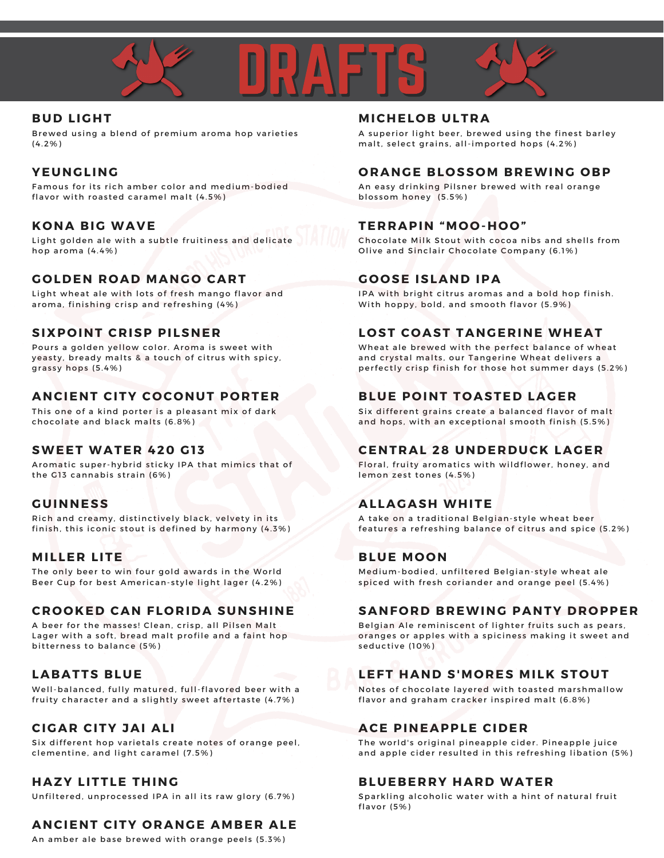



#### **BUD LIGHT**

Brewed using a blend of premium aroma hop varieties (4.2%)

#### **YEUNGLING**

Famous for its rich amber color and medium-bodied flavor with roasted caramel malt  $(4.5\%)$ 

#### **K O NA BIG WAVE**

Light golden ale with a subtle fruitiness and delicate hop aroma (4.4%)

#### **G O LDEN R O AD MANG O CART**

Light wheat ale with lots of fresh mango flavor and aroma, finishing crisp and refreshing (4%)

#### **SIXP O INT CRISP PILSNER**

Pours a golden yellow color. Aroma is sweet with yeasty, bready malts & a touch of citrus with spicy, grassy hops  $(5.4%)$ 

#### **ANCIENT CITY C O C O NUT P O RTER**

This one of a kind porter is a pleasant mix of dark chocolate and black malts (6.8%)

#### **SWEET WATER 420 G1 3**

Aromatic super-hybrid sticky IPA that mimics that of the G13 cannabis strain (6%)

#### **GUINNESS**

Rich and creamy, distinctively black, velvety in its finish, this iconic stout is defined by harmony (4.3%)

#### **MI LLER LITE**

The only beer to win four gold awards in the World Beer Cup for best American-style light lager (4.2%)

#### **CR O O KED CAN FL O RIDA SUNSHINE**

A beer for the masses! Clean, crisp, all Pilsen Malt Lager with a soft, bread malt profile and a faint hop bitterness to balance (5%)

#### **LABATTS BLUE**

Well-balanced, fully matured, full-flavored beer with a fruity character and a slightly sweet aftertaste (4.7%)

#### **CIGAR CITY JAI ALI**

Six different hop varietals create notes of orange peel, clementine, and light caramel (7.5%)

#### **HAZY LITTLE THING**

Unfiltered, unprocessed IPA in all its raw glory (6.7%)

#### **ANCIENT CITY O RANGE AMBER ALE**

An amber ale base brewed with orange peels (5.3%)

#### **MICHEL O B ULTRA**

A superior light beer, brewed using the finest barley malt, select grains, all-imported hops (4.2%)

#### **O RANGE BL O SS OM BREWING O BP**

An easy drinking Pilsner brewed with real orange blos som honey (5.5%)

#### **TERRAPIN "MO O -H O O "**

Chocolate Milk Stout with cocoa nibs and shells from Olive and Sinclair Chocolate Company (6.1%)

#### **G O O SE ISLAND IPA**

IPA with bright citrus aromas and a bold hop finish. With hoppy, bold, and smooth flavor (5.9%)

#### **L O ST C O AST TANGERINE WHEAT**

Wheat ale brewed with the perfect balance of wheat and crystal malts, our Tangerine Wheat delivers a perfectly crisp finish for those hot summer days (5.2%)

#### **BLUE P O INT T O ASTED LAGER**

Six different grains create a balanced flavor of malt and hops, with an exceptional smooth finish (5.5%)

#### **CENTRAL 28 UNDERDUCK LAGER**

Floral, fruity aromatics with wildflower, honey, and lemon zest tones (4.5%)

#### **ALLAGASH WHITE**

A take on a traditional Belgian-style wheat beer features a refreshing balance of citrus and spice (5.2%)

#### **BLUE MO O N**

Medium-bodied, unfiltered Belgian-style wheat ale spiced with fresh coriander and orange peel (5.4%)

#### **SANF O RD BREWING PANTY DR O PPER**

Belgian Ale reminiscent of lighter fruits such as pears, oranges or apples with a spiciness making it sweet and seductive (10%)

#### **LEFT HAND S'MORES MILK STOUT**

Notes of chocolate layered with toasted marshmallow flavor and graham cracker inspired malt (6.8%)

#### **ACE PINEAPPLE CIDER**

The world's original pineapple cider. Pineapple juice and apple cider resulted in this refreshing libation (5%)

#### **BLUEBERRY HARD WATER**

Sparkling alcoholic water with a hint of natural fruit flavor (5%)